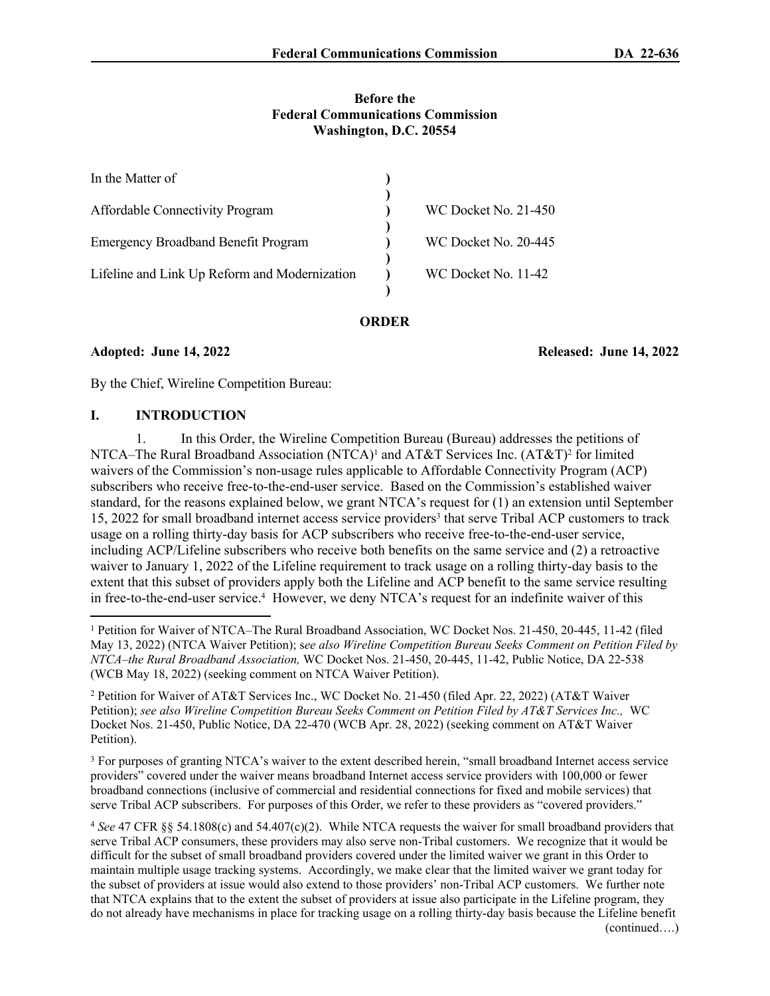### **Before the Federal Communications Commission Washington, D.C. 20554**

| In the Matter of                              |                             |
|-----------------------------------------------|-----------------------------|
| <b>Affordable Connectivity Program</b>        | <b>WC Docket No. 21-450</b> |
| <b>Emergency Broadband Benefit Program</b>    | WC Docket No. 20-445        |
| Lifeline and Link Up Reform and Modernization | WC Docket No. 11-42         |
|                                               |                             |

#### **ORDER**

**Adopted: June 14, 2022 Released: June 14, 2022**

By the Chief, Wireline Competition Bureau:

### **I. INTRODUCTION**

1. In this Order, the Wireline Competition Bureau (Bureau) addresses the petitions of NTCA–The Rural Broadband Association (NTCA)<sup>1</sup> and AT&T Services Inc. (AT&T)<sup>2</sup> for limited waivers of the Commission's non-usage rules applicable to Affordable Connectivity Program (ACP) subscribers who receive free-to-the-end-user service. Based on the Commission's established waiver standard, for the reasons explained below, we grant NTCA's request for (1) an extension until September 15, 2022 for small broadband internet access service providers<sup>3</sup> that serve Tribal ACP customers to track usage on a rolling thirty-day basis for ACP subscribers who receive free-to-the-end-user service, including ACP/Lifeline subscribers who receive both benefits on the same service and (2) a retroactive waiver to January 1, 2022 of the Lifeline requirement to track usage on a rolling thirty-day basis to the extent that this subset of providers apply both the Lifeline and ACP benefit to the same service resulting in free-to-the-end-user service.<sup>4</sup> However, we deny NTCA's request for an indefinite waiver of this

2 Petition for Waiver of AT&T Services Inc., WC Docket No. 21-450 (filed Apr. 22, 2022) (AT&T Waiver Petition); *see also Wireline Competition Bureau Seeks Comment on Petition Filed by AT&T Services Inc.,* WC Docket Nos. 21-450, Public Notice, DA 22-470 (WCB Apr. 28, 2022) (seeking comment on AT&T Waiver Petition).

<sup>3</sup> For purposes of granting NTCA's waiver to the extent described herein, "small broadband Internet access service providers" covered under the waiver means broadband Internet access service providers with 100,000 or fewer broadband connections (inclusive of commercial and residential connections for fixed and mobile services) that serve Tribal ACP subscribers. For purposes of this Order, we refer to these providers as "covered providers."

<sup>4</sup> *See* 47 CFR §§ 54.1808(c) and 54.407(c)(2). While NTCA requests the waiver for small broadband providers that serve Tribal ACP consumers, these providers may also serve non-Tribal customers. We recognize that it would be difficult for the subset of small broadband providers covered under the limited waiver we grant in this Order to maintain multiple usage tracking systems. Accordingly, we make clear that the limited waiver we grant today for the subset of providers at issue would also extend to those providers' non-Tribal ACP customers. We further note that NTCA explains that to the extent the subset of providers at issue also participate in the Lifeline program, they do not already have mechanisms in place for tracking usage on a rolling thirty-day basis because the Lifeline benefit (continued….)

<sup>&</sup>lt;sup>1</sup> Petition for Waiver of NTCA–The Rural Broadband Association, WC Docket Nos. 21-450, 20-445, 11-42 (filed May 13, 2022) (NTCA Waiver Petition); s*ee also Wireline Competition Bureau Seeks Comment on Petition Filed by NTCA*–*the Rural Broadband Association,* WC Docket Nos. 21-450, 20-445, 11-42, Public Notice, DA 22-538 (WCB May 18, 2022) (seeking comment on NTCA Waiver Petition).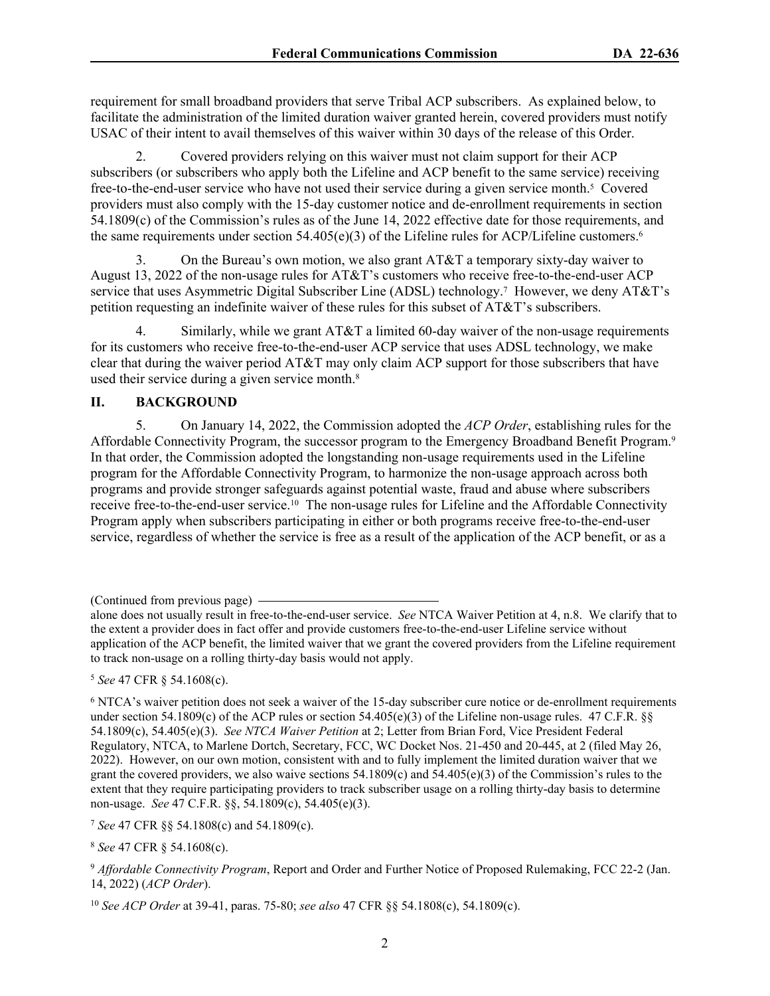requirement for small broadband providers that serve Tribal ACP subscribers. As explained below, to facilitate the administration of the limited duration waiver granted herein, covered providers must notify USAC of their intent to avail themselves of this waiver within 30 days of the release of this Order.

2. Covered providers relying on this waiver must not claim support for their ACP subscribers (or subscribers who apply both the Lifeline and ACP benefit to the same service) receiving free-to-the-end-user service who have not used their service during a given service month.<sup>5</sup> Covered providers must also comply with the 15-day customer notice and de-enrollment requirements in section 54.1809(c) of the Commission's rules as of the June 14, 2022 effective date for those requirements, and the same requirements under section  $54.405(e)(3)$  of the Lifeline rules for ACP/Lifeline customers.<sup>6</sup>

3. On the Bureau's own motion, we also grant AT&T a temporary sixty-day waiver to August 13, 2022 of the non-usage rules for AT&T's customers who receive free-to-the-end-user ACP service that uses Asymmetric Digital Subscriber Line (ADSL) technology.<sup>7</sup> However, we deny AT&T's petition requesting an indefinite waiver of these rules for this subset of AT&T's subscribers.

4. Similarly, while we grant AT&T a limited 60-day waiver of the non-usage requirements for its customers who receive free-to-the-end-user ACP service that uses ADSL technology, we make clear that during the waiver period  $AT&T$  may only claim ACP support for those subscribers that have used their service during a given service month.<sup>8</sup>

## **II. BACKGROUND**

5. On January 14, 2022, the Commission adopted the *ACP Order*, establishing rules for the Affordable Connectivity Program, the successor program to the Emergency Broadband Benefit Program.<sup>9</sup> In that order, the Commission adopted the longstanding non-usage requirements used in the Lifeline program for the Affordable Connectivity Program, to harmonize the non-usage approach across both programs and provide stronger safeguards against potential waste, fraud and abuse where subscribers receive free-to-the-end-user service.10 The non-usage rules for Lifeline and the Affordable Connectivity Program apply when subscribers participating in either or both programs receive free-to-the-end-user service, regardless of whether the service is free as a result of the application of the ACP benefit, or as a

<sup>5</sup> *See* 47 CFR § 54.1608(c).

<sup>8</sup> *See* 47 CFR § 54.1608(c).

<sup>(</sup>Continued from previous page)

alone does not usually result in free-to-the-end-user service. *See* NTCA Waiver Petition at 4, n.8. We clarify that to the extent a provider does in fact offer and provide customers free-to-the-end-user Lifeline service without application of the ACP benefit, the limited waiver that we grant the covered providers from the Lifeline requirement to track non-usage on a rolling thirty-day basis would not apply.

<sup>&</sup>lt;sup>6</sup> NTCA's waiver petition does not seek a waiver of the 15-day subscriber cure notice or de-enrollment requirements under section 54.1809(c) of the ACP rules or section 54.405(e)(3) of the Lifeline non-usage rules. 47 C.F.R.  $\S$ 54.1809(c), 54.405(e)(3). *See NTCA Waiver Petition* at 2; Letter from Brian Ford, Vice President Federal Regulatory, NTCA, to Marlene Dortch, Secretary, FCC, WC Docket Nos. 21-450 and 20-445, at 2 (filed May 26, 2022). However, on our own motion, consistent with and to fully implement the limited duration waiver that we grant the covered providers, we also waive sections 54.1809(c) and 54.405(e)(3) of the Commission's rules to the extent that they require participating providers to track subscriber usage on a rolling thirty-day basis to determine non-usage. *See* 47 C.F.R. §§, 54.1809(c), 54.405(e)(3).

<sup>7</sup> *See* 47 CFR §§ 54.1808(c) and 54.1809(c).

<sup>9</sup> *Affordable Connectivity Program*, Report and Order and Further Notice of Proposed Rulemaking, FCC 22-2 (Jan. 14, 2022) (*ACP Order*).

<sup>10</sup> *See ACP Order* at 39-41, paras. 75-80; *see also* 47 CFR §§ 54.1808(c), 54.1809(c).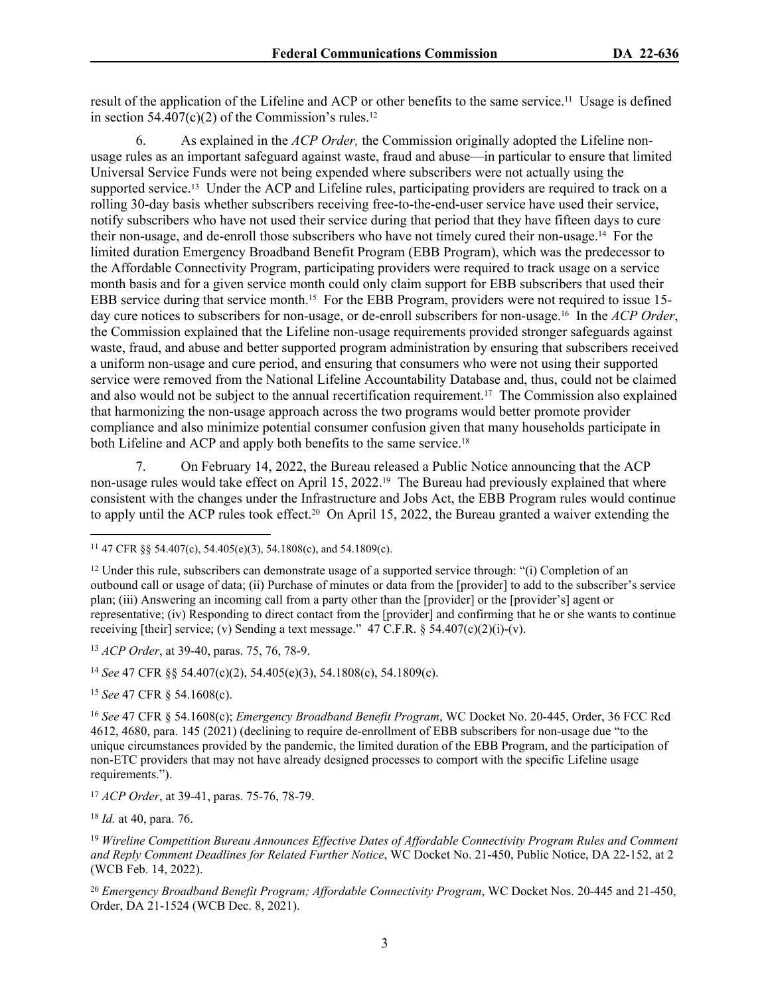result of the application of the Lifeline and ACP or other benefits to the same service.11 Usage is defined in section  $54.407(c)(2)$  of the Commission's rules.<sup>12</sup>

6. As explained in the *ACP Order,* the Commission originally adopted the Lifeline nonusage rules as an important safeguard against waste, fraud and abuse—in particular to ensure that limited Universal Service Funds were not being expended where subscribers were not actually using the supported service.<sup>13</sup> Under the ACP and Lifeline rules, participating providers are required to track on a rolling 30-day basis whether subscribers receiving free-to-the-end-user service have used their service, notify subscribers who have not used their service during that period that they have fifteen days to cure their non-usage, and de-enroll those subscribers who have not timely cured their non-usage.14 For the limited duration Emergency Broadband Benefit Program (EBB Program), which was the predecessor to the Affordable Connectivity Program, participating providers were required to track usage on a service month basis and for a given service month could only claim support for EBB subscribers that used their EBB service during that service month.15 For the EBB Program, providers were not required to issue 15 day cure notices to subscribers for non-usage, or de-enroll subscribers for non-usage.16 In the *ACP Order*, the Commission explained that the Lifeline non-usage requirements provided stronger safeguards against waste, fraud, and abuse and better supported program administration by ensuring that subscribers received a uniform non-usage and cure period, and ensuring that consumers who were not using their supported service were removed from the National Lifeline Accountability Database and, thus, could not be claimed and also would not be subject to the annual recertification requirement.17 The Commission also explained that harmonizing the non-usage approach across the two programs would better promote provider compliance and also minimize potential consumer confusion given that many households participate in both Lifeline and ACP and apply both benefits to the same service.<sup>18</sup>

7. On February 14, 2022, the Bureau released a Public Notice announcing that the ACP non-usage rules would take effect on April 15, 2022.<sup>19</sup> The Bureau had previously explained that where consistent with the changes under the Infrastructure and Jobs Act, the EBB Program rules would continue to apply until the ACP rules took effect.20 On April 15, 2022, the Bureau granted a waiver extending the

<sup>14</sup> *See* 47 CFR §§ 54.407(c)(2), 54.405(e)(3), 54.1808(c), 54.1809(c).

<sup>15</sup> *See* 47 CFR § 54.1608(c).

<sup>&</sup>lt;sup>11</sup> 47 CFR §§ 54.407(c), 54.405(e)(3), 54.1808(c), and 54.1809(c).

<sup>12</sup> Under this rule, subscribers can demonstrate usage of a supported service through: "(i) Completion of an outbound call or usage of data; (ii) Purchase of minutes or data from the [provider] to add to the subscriber's service plan; (iii) Answering an incoming call from a party other than the [provider] or the [provider's] agent or representative; (iv) Responding to direct contact from the [provider] and confirming that he or she wants to continue receiving [their] service; (v) Sending a text message."  $47 \text{ C.F.R.}$  §  $54.407(c)(2)(i)-(v)$ .

<sup>13</sup> *ACP Order*, at 39-40, paras. 75, 76, 78-9.

<sup>16</sup> *See* 47 CFR § 54.1608(c); *Emergency Broadband Benefit Program*, WC Docket No. 20-445, Order, 36 FCC Rcd 4612, 4680, para. 145 (2021) (declining to require de-enrollment of EBB subscribers for non-usage due "to the unique circumstances provided by the pandemic, the limited duration of the EBB Program, and the participation of non-ETC providers that may not have already designed processes to comport with the specific Lifeline usage requirements.").

<sup>17</sup> *ACP Order*, at 39-41, paras. 75-76, 78-79.

<sup>18</sup> *Id.* at 40, para. 76.

<sup>19</sup> *Wireline Competition Bureau Announces Effective Dates of Affordable Connectivity Program Rules and Comment and Reply Comment Deadlines for Related Further Notice*, WC Docket No. 21-450, Public Notice, DA 22-152, at 2 (WCB Feb. 14, 2022).

<sup>20</sup> *Emergency Broadband Benefit Program; Affordable Connectivity Program*, WC Docket Nos. 20-445 and 21-450, Order, DA 21-1524 (WCB Dec. 8, 2021).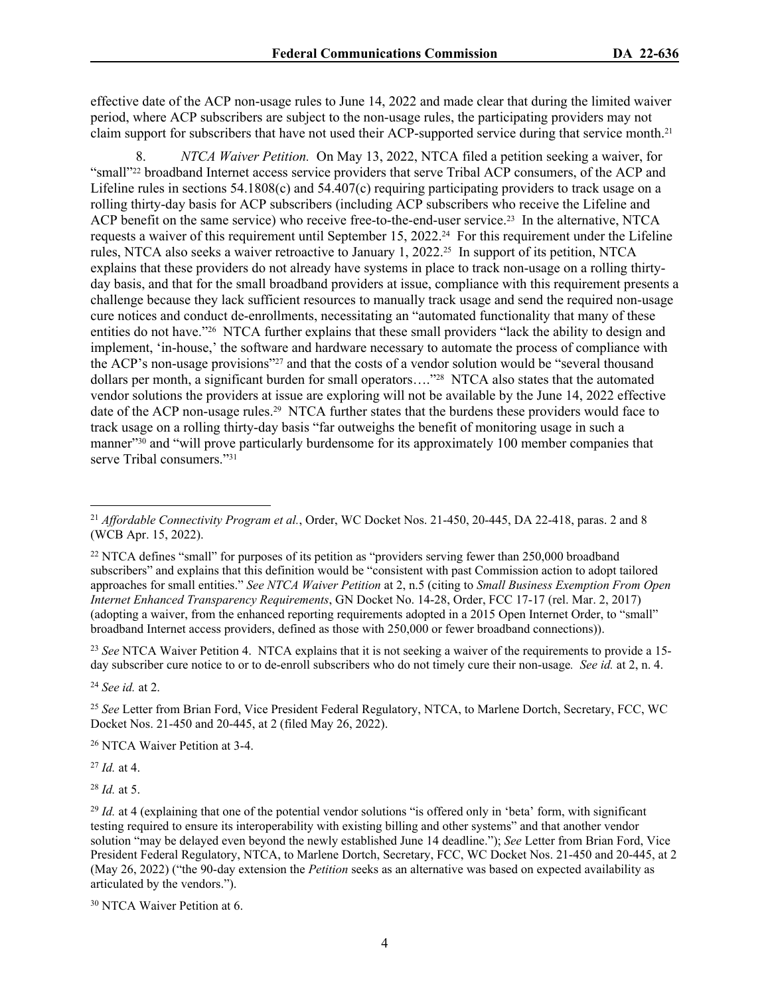effective date of the ACP non-usage rules to June 14, 2022 and made clear that during the limited waiver period, where ACP subscribers are subject to the non-usage rules, the participating providers may not claim support for subscribers that have not used their ACP-supported service during that service month.<sup>21</sup>

8. *NTCA Waiver Petition.* On May 13, 2022, NTCA filed a petition seeking a waiver, for "small"22 broadband Internet access service providers that serve Tribal ACP consumers, of the ACP and Lifeline rules in sections 54.1808(c) and 54.407(c) requiring participating providers to track usage on a rolling thirty-day basis for ACP subscribers (including ACP subscribers who receive the Lifeline and ACP benefit on the same service) who receive free-to-the-end-user service.<sup>23</sup> In the alternative, NTCA requests a waiver of this requirement until September 15, 2022.24 For this requirement under the Lifeline rules, NTCA also seeks a waiver retroactive to January 1, 2022.25 In support of its petition, NTCA explains that these providers do not already have systems in place to track non-usage on a rolling thirtyday basis, and that for the small broadband providers at issue, compliance with this requirement presents a challenge because they lack sufficient resources to manually track usage and send the required non-usage cure notices and conduct de-enrollments, necessitating an "automated functionality that many of these entities do not have."26 NTCA further explains that these small providers "lack the ability to design and implement, 'in-house,' the software and hardware necessary to automate the process of compliance with the ACP's non-usage provisions"27 and that the costs of a vendor solution would be "several thousand dollars per month, a significant burden for small operators…."28 NTCA also states that the automated vendor solutions the providers at issue are exploring will not be available by the June 14, 2022 effective date of the ACP non-usage rules.29 NTCA further states that the burdens these providers would face to track usage on a rolling thirty-day basis "far outweighs the benefit of monitoring usage in such a manner"<sup>30</sup> and "will prove particularly burdensome for its approximately 100 member companies that serve Tribal consumers."<sup>31</sup>

<sup>23</sup> *See* NTCA Waiver Petition 4. NTCA explains that it is not seeking a waiver of the requirements to provide a 15 day subscriber cure notice to or to de-enroll subscribers who do not timely cure their non-usage*. See id.* at 2, n. 4.

<sup>24</sup> *See id.* at 2.

<sup>26</sup> NTCA Waiver Petition at 3-4.

<sup>27</sup> *Id.* at 4.

<sup>28</sup> *Id.* at 5.

<sup>21</sup> *Affordable Connectivity Program et al.*, Order, WC Docket Nos. 21-450, 20-445, DA 22-418, paras. 2 and 8 (WCB Apr. 15, 2022).

<sup>&</sup>lt;sup>22</sup> NTCA defines "small" for purposes of its petition as "providers serving fewer than 250,000 broadband subscribers" and explains that this definition would be "consistent with past Commission action to adopt tailored approaches for small entities." *See NTCA Waiver Petition* at 2, n.5 (citing to *Small Business Exemption From Open Internet Enhanced Transparency Requirements*, GN Docket No. 14-28, Order, FCC 17-17 (rel. Mar. 2, 2017) (adopting a waiver, from the enhanced reporting requirements adopted in a 2015 Open Internet Order, to "small" broadband Internet access providers, defined as those with 250,000 or fewer broadband connections)).

<sup>25</sup> *See* Letter from Brian Ford, Vice President Federal Regulatory, NTCA, to Marlene Dortch, Secretary, FCC, WC Docket Nos. 21-450 and 20-445, at 2 (filed May 26, 2022).

<sup>&</sup>lt;sup>29</sup> *Id.* at 4 (explaining that one of the potential vendor solutions "is offered only in 'beta' form, with significant testing required to ensure its interoperability with existing billing and other systems" and that another vendor solution "may be delayed even beyond the newly established June 14 deadline."); *See* Letter from Brian Ford, Vice President Federal Regulatory, NTCA, to Marlene Dortch, Secretary, FCC, WC Docket Nos. 21-450 and 20-445, at 2 (May 26, 2022) ("the 90-day extension the *Petition* seeks as an alternative was based on expected availability as articulated by the vendors.").

<sup>30</sup> NTCA Waiver Petition at 6.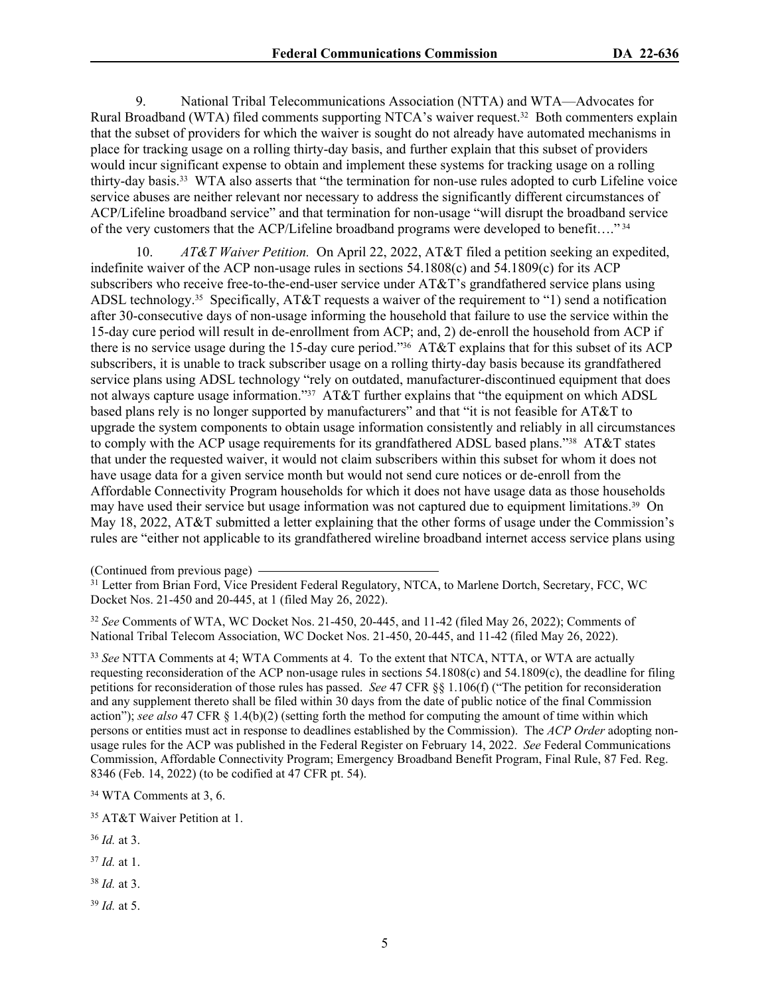9. National Tribal Telecommunications Association (NTTA) and WTA—Advocates for Rural Broadband (WTA) filed comments supporting NTCA's waiver request.32 Both commenters explain that the subset of providers for which the waiver is sought do not already have automated mechanisms in place for tracking usage on a rolling thirty-day basis, and further explain that this subset of providers would incur significant expense to obtain and implement these systems for tracking usage on a rolling thirty-day basis.33 WTA also asserts that "the termination for non-use rules adopted to curb Lifeline voice service abuses are neither relevant nor necessary to address the significantly different circumstances of ACP/Lifeline broadband service" and that termination for non-usage "will disrupt the broadband service of the very customers that the ACP/Lifeline broadband programs were developed to benefit…."<sup>34</sup>

10. *AT&T Waiver Petition.* On April 22, 2022, AT&T filed a petition seeking an expedited, indefinite waiver of the ACP non-usage rules in sections 54.1808(c) and 54.1809(c) for its ACP subscribers who receive free-to-the-end-user service under AT&T's grandfathered service plans using ADSL technology.<sup>35</sup> Specifically, AT&T requests a waiver of the requirement to "1) send a notification after 30-consecutive days of non-usage informing the household that failure to use the service within the 15-day cure period will result in de-enrollment from ACP; and, 2) de-enroll the household from ACP if there is no service usage during the 15-day cure period."36 AT&T explains that for this subset of its ACP subscribers, it is unable to track subscriber usage on a rolling thirty-day basis because its grandfathered service plans using ADSL technology "rely on outdated, manufacturer-discontinued equipment that does not always capture usage information."37 AT&T further explains that "the equipment on which ADSL based plans rely is no longer supported by manufacturers" and that "it is not feasible for AT&T to upgrade the system components to obtain usage information consistently and reliably in all circumstances to comply with the ACP usage requirements for its grandfathered ADSL based plans."38 AT&T states that under the requested waiver, it would not claim subscribers within this subset for whom it does not have usage data for a given service month but would not send cure notices or de-enroll from the Affordable Connectivity Program households for which it does not have usage data as those households may have used their service but usage information was not captured due to equipment limitations.39 On May 18, 2022, AT&T submitted a letter explaining that the other forms of usage under the Commission's rules are "either not applicable to its grandfathered wireline broadband internet access service plans using

<sup>32</sup> *See* Comments of WTA, WC Docket Nos. 21-450, 20-445, and 11-42 (filed May 26, 2022); Comments of National Tribal Telecom Association, WC Docket Nos. 21-450, 20-445, and 11-42 (filed May 26, 2022).

<sup>33</sup> *See* NTTA Comments at 4; WTA Comments at 4. To the extent that NTCA, NTTA, or WTA are actually requesting reconsideration of the ACP non-usage rules in sections 54.1808(c) and 54.1809(c), the deadline for filing petitions for reconsideration of those rules has passed. *See* 47 CFR §§ 1.106(f) ("The petition for reconsideration and any supplement thereto shall be filed within 30 days from the date of public notice of the final Commission action"); *see also* 47 CFR § 1.4(b)(2) (setting forth the method for computing the amount of time within which persons or entities must act in response to deadlines established by the Commission). The *ACP Order* adopting nonusage rules for the ACP was published in the Federal Register on February 14, 2022. *See* Federal Communications Commission, Affordable Connectivity Program; Emergency Broadband Benefit Program, Final Rule, 87 Fed. Reg. 8346 (Feb. 14, 2022) (to be codified at 47 CFR pt. 54).

<sup>34</sup> WTA Comments at 3, 6.

<sup>35</sup> AT&T Waiver Petition at 1.

- <sup>36</sup> *Id.* at 3.
- <sup>37</sup> *Id.* at 1.
- <sup>38</sup> *Id.* at 3.
- <sup>39</sup> *Id.* at 5.

<sup>(</sup>Continued from previous page)

<sup>&</sup>lt;sup>31</sup> Letter from Brian Ford, Vice President Federal Regulatory, NTCA, to Marlene Dortch, Secretary, FCC, WC Docket Nos. 21-450 and 20-445, at 1 (filed May 26, 2022).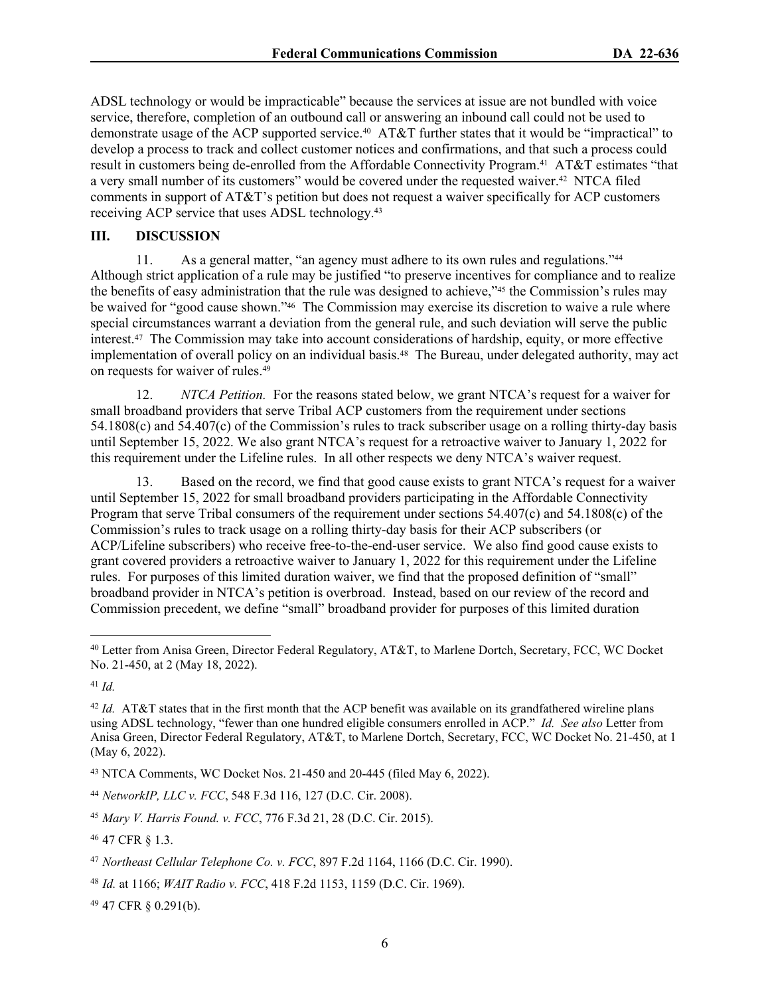ADSL technology or would be impracticable" because the services at issue are not bundled with voice service, therefore, completion of an outbound call or answering an inbound call could not be used to demonstrate usage of the ACP supported service.40 AT&T further states that it would be "impractical" to develop a process to track and collect customer notices and confirmations, and that such a process could result in customers being de-enrolled from the Affordable Connectivity Program.41 AT&T estimates "that a very small number of its customers" would be covered under the requested waiver.42 NTCA filed comments in support of AT&T's petition but does not request a waiver specifically for ACP customers receiving ACP service that uses ADSL technology.<sup>43</sup>

# **III. DISCUSSION**

11. As a general matter, "an agency must adhere to its own rules and regulations."<sup>44</sup> Although strict application of a rule may be justified "to preserve incentives for compliance and to realize the benefits of easy administration that the rule was designed to achieve,"45 the Commission's rules may be waived for "good cause shown."46 The Commission may exercise its discretion to waive a rule where special circumstances warrant a deviation from the general rule, and such deviation will serve the public interest.47 The Commission may take into account considerations of hardship, equity, or more effective implementation of overall policy on an individual basis.<sup>48</sup> The Bureau, under delegated authority, may act on requests for waiver of rules.<sup>49</sup>

12. *NTCA Petition.* For the reasons stated below, we grant NTCA's request for a waiver for small broadband providers that serve Tribal ACP customers from the requirement under sections 54.1808(c) and 54.407(c) of the Commission's rules to track subscriber usage on a rolling thirty-day basis until September 15, 2022. We also grant NTCA's request for a retroactive waiver to January 1, 2022 for this requirement under the Lifeline rules. In all other respects we deny NTCA's waiver request.

13. Based on the record, we find that good cause exists to grant NTCA's request for a waiver until September 15, 2022 for small broadband providers participating in the Affordable Connectivity Program that serve Tribal consumers of the requirement under sections 54.407(c) and 54.1808(c) of the Commission's rules to track usage on a rolling thirty-day basis for their ACP subscribers (or ACP/Lifeline subscribers) who receive free-to-the-end-user service. We also find good cause exists to grant covered providers a retroactive waiver to January 1, 2022 for this requirement under the Lifeline rules. For purposes of this limited duration waiver, we find that the proposed definition of "small" broadband provider in NTCA's petition is overbroad. Instead, based on our review of the record and Commission precedent, we define "small" broadband provider for purposes of this limited duration

<sup>41</sup> *Id.*

<sup>49</sup> 47 CFR § 0.291(b).

<sup>40</sup> Letter from Anisa Green, Director Federal Regulatory, AT&T, to Marlene Dortch, Secretary, FCC, WC Docket No. 21-450, at 2 (May 18, 2022).

<sup>&</sup>lt;sup>42</sup> *Id.* AT&T states that in the first month that the ACP benefit was available on its grandfathered wireline plans using ADSL technology, "fewer than one hundred eligible consumers enrolled in ACP." *Id. See also* Letter from Anisa Green, Director Federal Regulatory, AT&T, to Marlene Dortch, Secretary, FCC, WC Docket No. 21-450, at 1 (May 6, 2022).

<sup>43</sup> NTCA Comments, WC Docket Nos. 21-450 and 20-445 (filed May 6, 2022).

<sup>44</sup> *NetworkIP, LLC v. FCC*, 548 F.3d 116, 127 (D.C. Cir. 2008).

<sup>45</sup> *Mary V. Harris Found. v. FCC*, 776 F.3d 21, 28 (D.C. Cir. 2015).

<sup>46</sup> 47 CFR § 1.3.

<sup>47</sup> *Northeast Cellular Telephone Co. v. FCC*, 897 F.2d 1164, 1166 (D.C. Cir. 1990).

<sup>48</sup> *Id.* at 1166; *WAIT Radio v. FCC*, 418 F.2d 1153, 1159 (D.C. Cir. 1969).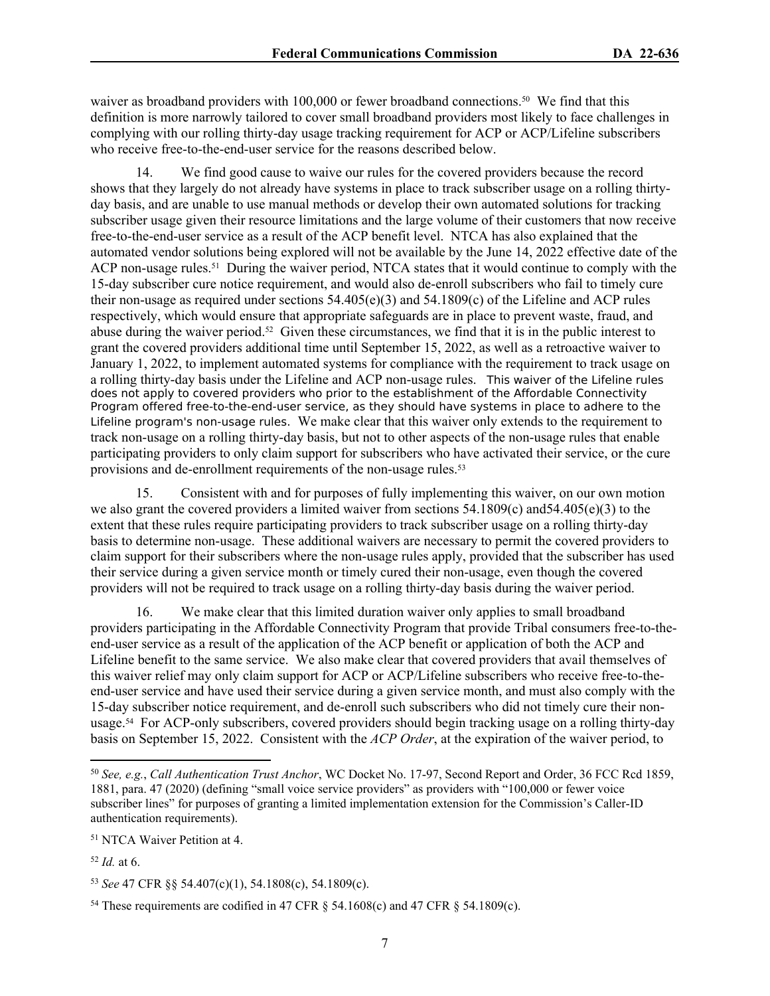waiver as broadband providers with 100,000 or fewer broadband connections.<sup>50</sup> We find that this definition is more narrowly tailored to cover small broadband providers most likely to face challenges in complying with our rolling thirty-day usage tracking requirement for ACP or ACP/Lifeline subscribers who receive free-to-the-end-user service for the reasons described below.

14. We find good cause to waive our rules for the covered providers because the record shows that they largely do not already have systems in place to track subscriber usage on a rolling thirtyday basis, and are unable to use manual methods or develop their own automated solutions for tracking subscriber usage given their resource limitations and the large volume of their customers that now receive free-to-the-end-user service as a result of the ACP benefit level. NTCA has also explained that the automated vendor solutions being explored will not be available by the June 14, 2022 effective date of the ACP non-usage rules.<sup>51</sup> During the waiver period, NTCA states that it would continue to comply with the 15-day subscriber cure notice requirement, and would also de-enroll subscribers who fail to timely cure their non-usage as required under sections 54.405(e)(3) and 54.1809(c) of the Lifeline and ACP rules respectively, which would ensure that appropriate safeguards are in place to prevent waste, fraud, and abuse during the waiver period.52 Given these circumstances, we find that it is in the public interest to grant the covered providers additional time until September 15, 2022, as well as a retroactive waiver to January 1, 2022, to implement automated systems for compliance with the requirement to track usage on a rolling thirty-day basis under the Lifeline and ACP non-usage rules. This waiver of the Lifeline rules does not apply to covered providers who prior to the establishment of the Affordable Connectivity Program offered free-to-the-end-user service, as they should have systems in place to adhere to the Lifeline program's non-usage rules. We make clear that this waiver only extends to the requirement to track non-usage on a rolling thirty-day basis, but not to other aspects of the non-usage rules that enable participating providers to only claim support for subscribers who have activated their service, or the cure provisions and de-enrollment requirements of the non-usage rules.<sup>53</sup>

15. Consistent with and for purposes of fully implementing this waiver, on our own motion we also grant the covered providers a limited waiver from sections 54.1809(c) and54.405(e)(3) to the extent that these rules require participating providers to track subscriber usage on a rolling thirty-day basis to determine non-usage. These additional waivers are necessary to permit the covered providers to claim support for their subscribers where the non-usage rules apply, provided that the subscriber has used their service during a given service month or timely cured their non-usage, even though the covered providers will not be required to track usage on a rolling thirty-day basis during the waiver period.

16. We make clear that this limited duration waiver only applies to small broadband providers participating in the Affordable Connectivity Program that provide Tribal consumers free-to-theend-user service as a result of the application of the ACP benefit or application of both the ACP and Lifeline benefit to the same service. We also make clear that covered providers that avail themselves of this waiver relief may only claim support for ACP or ACP/Lifeline subscribers who receive free-to-theend-user service and have used their service during a given service month, and must also comply with the 15-day subscriber notice requirement, and de-enroll such subscribers who did not timely cure their nonusage.54 For ACP-only subscribers, covered providers should begin tracking usage on a rolling thirty-day basis on September 15, 2022. Consistent with the *ACP Order*, at the expiration of the waiver period, to

<sup>51</sup> NTCA Waiver Petition at 4.

<sup>50</sup> *See, e.g.*, *Call Authentication Trust Anchor*, WC Docket No. 17-97, Second Report and Order, 36 FCC Rcd 1859, 1881, para. 47 (2020) (defining "small voice service providers" as providers with "100,000 or fewer voice subscriber lines" for purposes of granting a limited implementation extension for the Commission's Caller-ID authentication requirements).

 $52$  *Id.* at 6.

<sup>53</sup> *See* 47 CFR §§ 54.407(c)(1), 54.1808(c), 54.1809(c).

<sup>&</sup>lt;sup>54</sup> These requirements are codified in 47 CFR  $\S$  54.1608(c) and 47 CFR  $\S$  54.1809(c).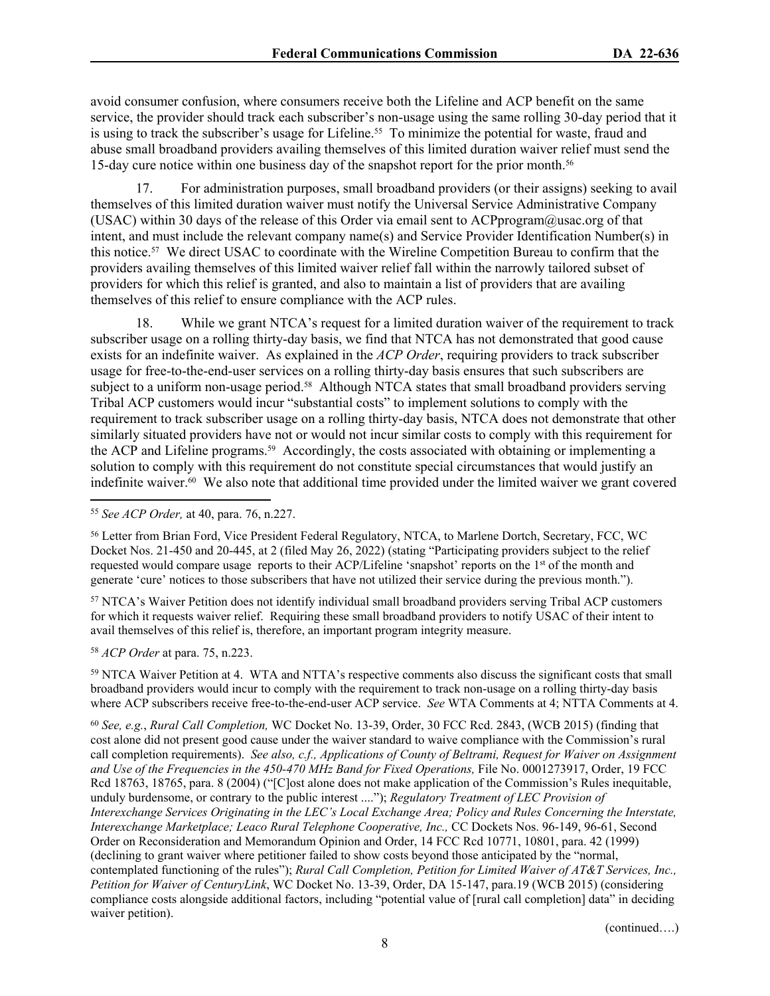avoid consumer confusion, where consumers receive both the Lifeline and ACP benefit on the same service, the provider should track each subscriber's non-usage using the same rolling 30-day period that it is using to track the subscriber's usage for Lifeline.<sup>55</sup> To minimize the potential for waste, fraud and abuse small broadband providers availing themselves of this limited duration waiver relief must send the 15-day cure notice within one business day of the snapshot report for the prior month.<sup>56</sup>

17. For administration purposes, small broadband providers (or their assigns) seeking to avail themselves of this limited duration waiver must notify the Universal Service Administrative Company (USAC) within 30 days of the release of this Order via email sent to ACPprogram@usac.org of that intent, and must include the relevant company name(s) and Service Provider Identification Number(s) in this notice.57 We direct USAC to coordinate with the Wireline Competition Bureau to confirm that the providers availing themselves of this limited waiver relief fall within the narrowly tailored subset of providers for which this relief is granted, and also to maintain a list of providers that are availing themselves of this relief to ensure compliance with the ACP rules.

18. While we grant NTCA's request for a limited duration waiver of the requirement to track subscriber usage on a rolling thirty-day basis, we find that NTCA has not demonstrated that good cause exists for an indefinite waiver. As explained in the *ACP Order*, requiring providers to track subscriber usage for free-to-the-end-user services on a rolling thirty-day basis ensures that such subscribers are subject to a uniform non-usage period.<sup>58</sup> Although NTCA states that small broadband providers serving Tribal ACP customers would incur "substantial costs" to implement solutions to comply with the requirement to track subscriber usage on a rolling thirty-day basis, NTCA does not demonstrate that other similarly situated providers have not or would not incur similar costs to comply with this requirement for the ACP and Lifeline programs.59 Accordingly, the costs associated with obtaining or implementing a solution to comply with this requirement do not constitute special circumstances that would justify an indefinite waiver. $60$  We also note that additional time provided under the limited waiver we grant covered

<sup>57</sup> NTCA's Waiver Petition does not identify individual small broadband providers serving Tribal ACP customers for which it requests waiver relief. Requiring these small broadband providers to notify USAC of their intent to avail themselves of this relief is, therefore, an important program integrity measure.

<sup>58</sup> *ACP Order* at para. 75, n.223.

<sup>59</sup> NTCA Waiver Petition at 4. WTA and NTTA's respective comments also discuss the significant costs that small broadband providers would incur to comply with the requirement to track non-usage on a rolling thirty-day basis where ACP subscribers receive free-to-the-end-user ACP service. *See* WTA Comments at 4; NTTA Comments at 4.

<sup>60</sup> *See, e.g.*, *Rural Call Completion,* WC Docket No. 13-39, Order, 30 FCC Rcd. 2843, (WCB 2015) (finding that cost alone did not present good cause under the waiver standard to waive compliance with the Commission's rural call completion requirements). *See also, c.f., Applications of County of Beltrami, Request for Waiver on Assignment and Use of the Frequencies in the 450-470 MHz Band for Fixed Operations,* File No. 0001273917, Order, 19 FCC Rcd 18763, 18765, para. 8 (2004) ("[C]ost alone does not make application of the Commission's Rules inequitable, unduly burdensome, or contrary to the public interest ...."); *Regulatory Treatment of LEC Provision of Interexchange Services Originating in the LEC's Local Exchange Area; Policy and Rules Concerning the Interstate, Interexchange Marketplace; Leaco Rural Telephone Cooperative, Inc.,* CC Dockets Nos. 96-149, 96-61, Second Order on Reconsideration and Memorandum Opinion and Order, 14 FCC Rcd 10771, 10801, para. 42 (1999) (declining to grant waiver where petitioner failed to show costs beyond those anticipated by the "normal, contemplated functioning of the rules"); *Rural Call Completion, Petition for Limited Waiver of AT&T Services, Inc., Petition for Waiver of CenturyLink*, WC Docket No. 13-39, Order, DA 15-147, para.19 (WCB 2015) (considering compliance costs alongside additional factors, including "potential value of [rural call completion] data" in deciding waiver petition).

(continued….)

<sup>55</sup> *See ACP Order,* at 40, para. 76, n.227.

<sup>56</sup> Letter from Brian Ford, Vice President Federal Regulatory, NTCA, to Marlene Dortch, Secretary, FCC, WC Docket Nos. 21-450 and 20-445, at 2 (filed May 26, 2022) (stating "Participating providers subject to the relief requested would compare usage reports to their ACP/Lifeline 'snapshot' reports on the 1st of the month and generate 'cure' notices to those subscribers that have not utilized their service during the previous month.").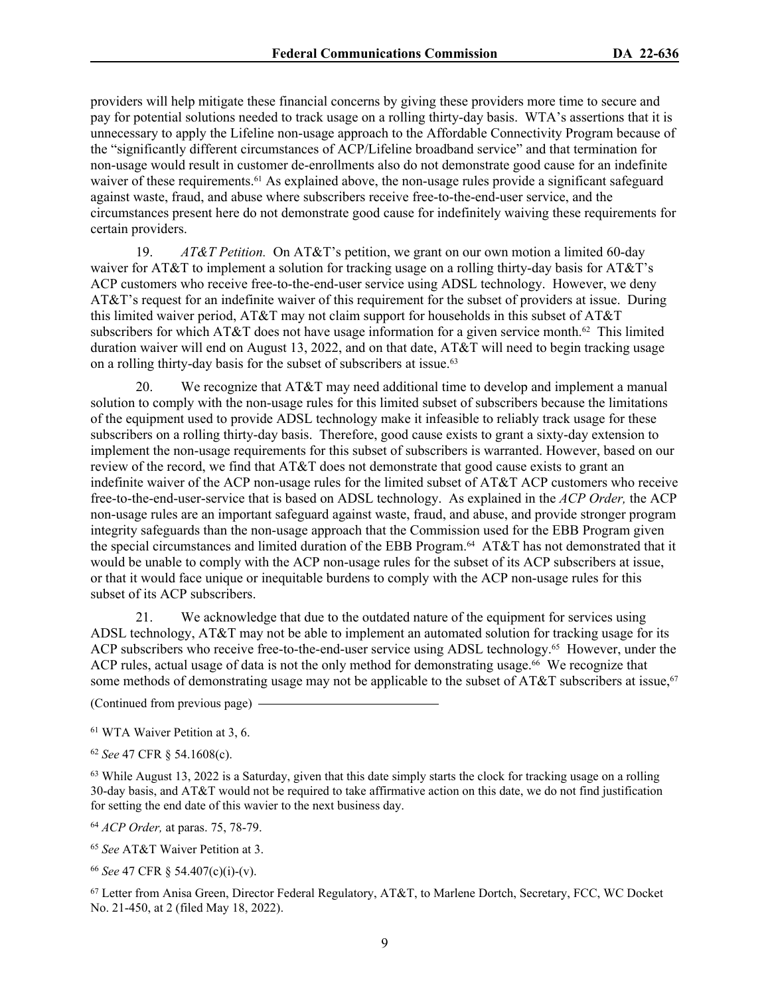providers will help mitigate these financial concerns by giving these providers more time to secure and pay for potential solutions needed to track usage on a rolling thirty-day basis. WTA's assertions that it is unnecessary to apply the Lifeline non-usage approach to the Affordable Connectivity Program because of the "significantly different circumstances of ACP/Lifeline broadband service" and that termination for non-usage would result in customer de-enrollments also do not demonstrate good cause for an indefinite waiver of these requirements.<sup>61</sup> As explained above, the non-usage rules provide a significant safeguard against waste, fraud, and abuse where subscribers receive free-to-the-end-user service, and the circumstances present here do not demonstrate good cause for indefinitely waiving these requirements for certain providers.

19. *AT&T Petition.* On AT&T's petition, we grant on our own motion a limited 60-day waiver for AT&T to implement a solution for tracking usage on a rolling thirty-day basis for AT&T's ACP customers who receive free-to-the-end-user service using ADSL technology. However, we deny AT&T's request for an indefinite waiver of this requirement for the subset of providers at issue. During this limited waiver period, AT&T may not claim support for households in this subset of AT&T subscribers for which AT&T does not have usage information for a given service month.<sup>62</sup> This limited duration waiver will end on August 13, 2022, and on that date, AT&T will need to begin tracking usage on a rolling thirty-day basis for the subset of subscribers at issue.<sup>63</sup>

20. We recognize that AT&T may need additional time to develop and implement a manual solution to comply with the non-usage rules for this limited subset of subscribers because the limitations of the equipment used to provide ADSL technology make it infeasible to reliably track usage for these subscribers on a rolling thirty-day basis. Therefore, good cause exists to grant a sixty-day extension to implement the non-usage requirements for this subset of subscribers is warranted. However, based on our review of the record, we find that AT&T does not demonstrate that good cause exists to grant an indefinite waiver of the ACP non-usage rules for the limited subset of AT&T ACP customers who receive free-to-the-end-user-service that is based on ADSL technology. As explained in the *ACP Order,* the ACP non-usage rules are an important safeguard against waste, fraud, and abuse, and provide stronger program integrity safeguards than the non-usage approach that the Commission used for the EBB Program given the special circumstances and limited duration of the EBB Program.<sup>64</sup> AT&T has not demonstrated that it would be unable to comply with the ACP non-usage rules for the subset of its ACP subscribers at issue, or that it would face unique or inequitable burdens to comply with the ACP non-usage rules for this subset of its ACP subscribers.

21. We acknowledge that due to the outdated nature of the equipment for services using ADSL technology, AT&T may not be able to implement an automated solution for tracking usage for its ACP subscribers who receive free-to-the-end-user service using ADSL technology.<sup>65</sup> However, under the ACP rules, actual usage of data is not the only method for demonstrating usage.<sup>66</sup> We recognize that some methods of demonstrating usage may not be applicable to the subset of AT&T subscribers at issue,<sup>67</sup>

(Continued from previous page)

<sup>61</sup> WTA Waiver Petition at 3, 6.

<sup>62</sup> *See* 47 CFR § 54.1608(c).

 $63$  While August 13, 2022 is a Saturday, given that this date simply starts the clock for tracking usage on a rolling 30-day basis, and AT&T would not be required to take affirmative action on this date, we do not find justification for setting the end date of this wavier to the next business day.

<sup>64</sup> *ACP Order,* at paras. 75, 78-79.

<sup>65</sup> *See* AT&T Waiver Petition at 3.

<sup>66</sup> *See* 47 CFR § 54.407(c)(i)-(v).

<sup>67</sup> Letter from Anisa Green, Director Federal Regulatory, AT&T, to Marlene Dortch, Secretary, FCC, WC Docket No. 21-450, at 2 (filed May 18, 2022).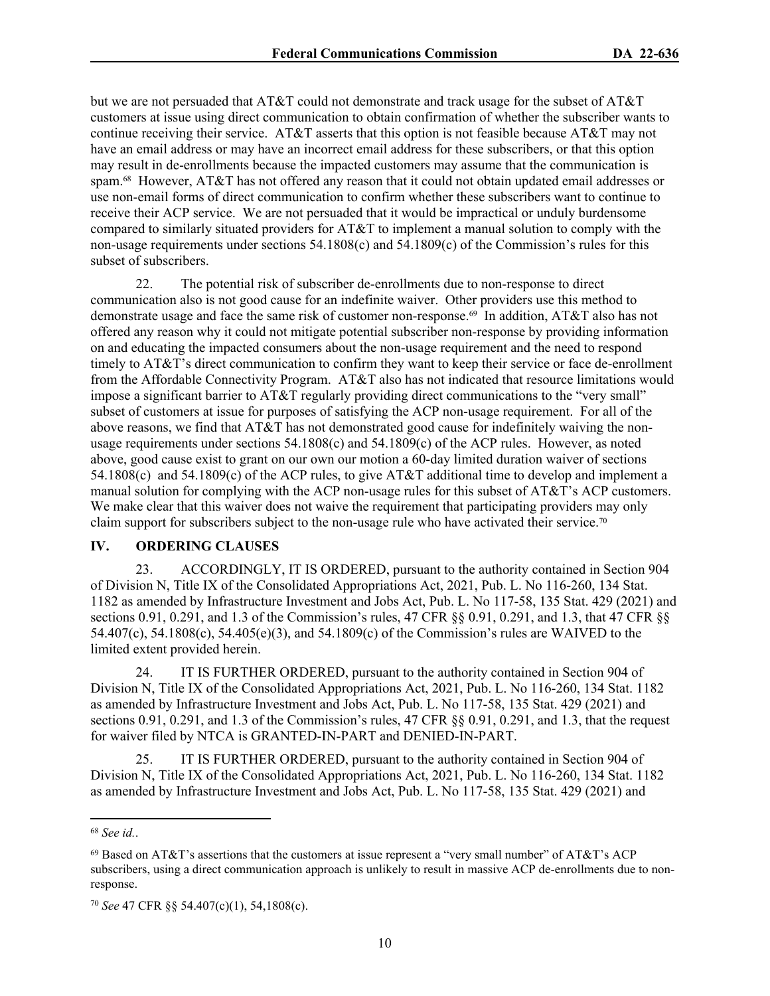but we are not persuaded that AT&T could not demonstrate and track usage for the subset of AT&T customers at issue using direct communication to obtain confirmation of whether the subscriber wants to continue receiving their service. AT&T asserts that this option is not feasible because AT&T may not have an email address or may have an incorrect email address for these subscribers, or that this option may result in de-enrollments because the impacted customers may assume that the communication is spam.<sup>68</sup> However, AT&T has not offered any reason that it could not obtain updated email addresses or use non-email forms of direct communication to confirm whether these subscribers want to continue to receive their ACP service. We are not persuaded that it would be impractical or unduly burdensome compared to similarly situated providers for AT&T to implement a manual solution to comply with the non-usage requirements under sections 54.1808(c) and 54.1809(c) of the Commission's rules for this subset of subscribers.

22. The potential risk of subscriber de-enrollments due to non-response to direct communication also is not good cause for an indefinite waiver. Other providers use this method to demonstrate usage and face the same risk of customer non-response.69 In addition, AT&T also has not offered any reason why it could not mitigate potential subscriber non-response by providing information on and educating the impacted consumers about the non-usage requirement and the need to respond timely to AT&T's direct communication to confirm they want to keep their service or face de-enrollment from the Affordable Connectivity Program. AT&T also has not indicated that resource limitations would impose a significant barrier to AT&T regularly providing direct communications to the "very small" subset of customers at issue for purposes of satisfying the ACP non-usage requirement. For all of the above reasons, we find that AT&T has not demonstrated good cause for indefinitely waiving the nonusage requirements under sections 54.1808(c) and 54.1809(c) of the ACP rules. However, as noted above, good cause exist to grant on our own our motion a 60-day limited duration waiver of sections 54.1808(c) and 54.1809(c) of the ACP rules, to give AT&T additional time to develop and implement a manual solution for complying with the ACP non-usage rules for this subset of AT&T's ACP customers. We make clear that this waiver does not waive the requirement that participating providers may only claim support for subscribers subject to the non-usage rule who have activated their service.<sup>70</sup>

# **IV. ORDERING CLAUSES**

23. ACCORDINGLY, IT IS ORDERED, pursuant to the authority contained in Section 904 of Division N, Title IX of the Consolidated Appropriations Act, 2021, Pub. L. No 116-260, 134 Stat. 1182 as amended by Infrastructure Investment and Jobs Act, Pub. L. No 117-58, 135 Stat. 429 (2021) and sections 0.91, 0.291, and 1.3 of the Commission's rules, 47 CFR §§ 0.91, 0.291, and 1.3, that 47 CFR §§ 54.407(c), 54.1808(c), 54.405(e)(3), and 54.1809(c) of the Commission's rules are WAIVED to the limited extent provided herein.

24. IT IS FURTHER ORDERED, pursuant to the authority contained in Section 904 of Division N, Title IX of the Consolidated Appropriations Act, 2021, Pub. L. No 116-260, 134 Stat. 1182 as amended by Infrastructure Investment and Jobs Act, Pub. L. No 117-58, 135 Stat. 429 (2021) and sections 0.91, 0.291, and 1.3 of the Commission's rules, 47 CFR §§ 0.91, 0.291, and 1.3, that the request for waiver filed by NTCA is GRANTED-IN-PART and DENIED-IN-PART.

25. IT IS FURTHER ORDERED, pursuant to the authority contained in Section 904 of Division N, Title IX of the Consolidated Appropriations Act, 2021, Pub. L. No 116-260, 134 Stat. 1182 as amended by Infrastructure Investment and Jobs Act, Pub. L. No 117-58, 135 Stat. 429 (2021) and

<sup>68</sup> *See id.*.

 $69$  Based on AT&T's assertions that the customers at issue represent a "very small number" of AT&T's ACP subscribers, using a direct communication approach is unlikely to result in massive ACP de-enrollments due to nonresponse.

<sup>70</sup> *See* 47 CFR §§ 54.407(c)(1), 54,1808(c).